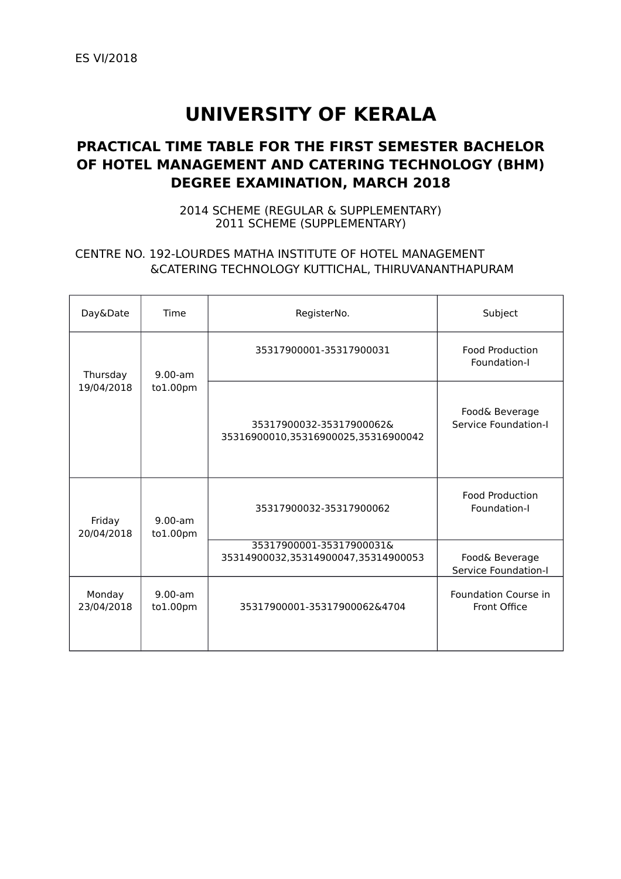# **UNIVERSITY OF KERALA**

## **PRACTICAL TIME TABLE FOR THE FIRST SEMESTER BACHELOR OF HOTEL MANAGEMENT AND CATERING TECHNOLOGY (BHM) DEGREE EXAMINATION, MARCH 2018**

2014 SCHEME (REGULAR & SUPPLEMENTARY) 2011 SCHEME (SUPPLEMENTARY)

#### CENTRE NO. 192-LOURDES MATHA INSTITUTE OF HOTEL MANAGEMENT &CATERING TECHNOLOGY KUTTICHAL, THIRUVANANTHAPURAM

| Day&Date             | Time                  | RegisterNo.                                                     | Subject                                |
|----------------------|-----------------------|-----------------------------------------------------------------|----------------------------------------|
| Thursday             | $9.00-am$<br>to1.00pm | 35317900001-35317900031                                         | Food Production<br>Foundation-I        |
| 19/04/2018           |                       | 35317900032-35317900062&<br>35316900010,35316900025,35316900042 | Food& Beverage<br>Service Foundation-I |
| Friday<br>20/04/2018 | $9.00-am$<br>to1.00pm | 35317900032-35317900062                                         | <b>Food Production</b><br>Foundation-I |
|                      |                       | 35317900001-35317900031&<br>35314900032,35314900047,35314900053 | Food& Beverage<br>Service Foundation-I |
| Monday<br>23/04/2018 | $9.00-am$<br>to1.00pm | 35317900001-35317900062&4704                                    | Foundation Course in<br>Front Office   |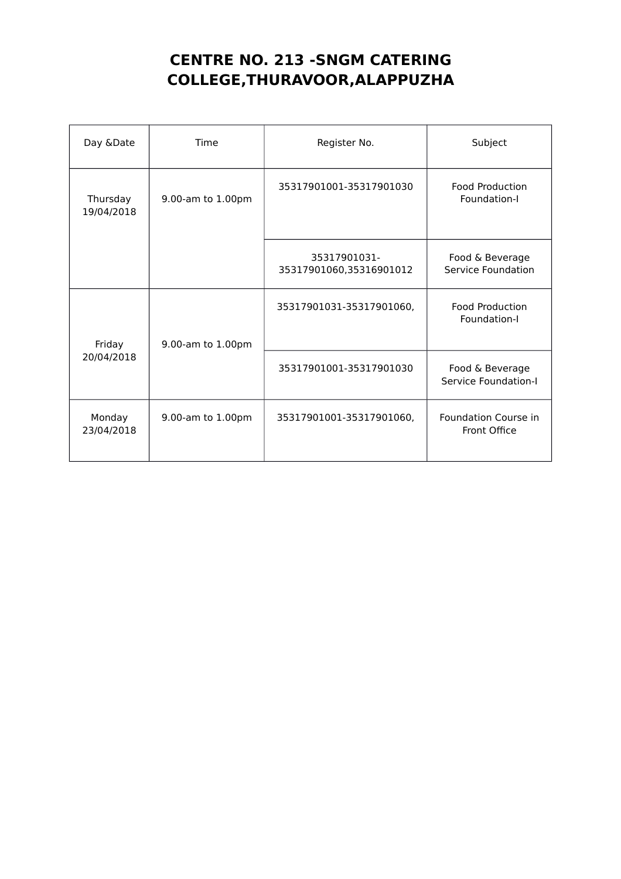## **CENTRE NO. 213 -SNGM CATERING COLLEGE,THURAVOOR,ALAPPUZHA**

| Day &Date              | Time              | Register No.                            | Subject                                 |
|------------------------|-------------------|-----------------------------------------|-----------------------------------------|
| Thursday<br>19/04/2018 | 9.00-am to 1.00pm | 35317901001-35317901030                 | <b>Food Production</b><br>Foundation-I  |
|                        |                   | 35317901031-<br>35317901060,35316901012 | Food & Beverage<br>Service Foundation   |
| Friday                 | 9.00-am to 1.00pm | 35317901031-35317901060,                | <b>Food Production</b><br>Foundation-I  |
| 20/04/2018             |                   | 35317901001-35317901030                 | Food & Beverage<br>Service Foundation-I |
| Monday<br>23/04/2018   | 9.00-am to 1.00pm | 35317901001-35317901060,                | Foundation Course in<br>Front Office    |